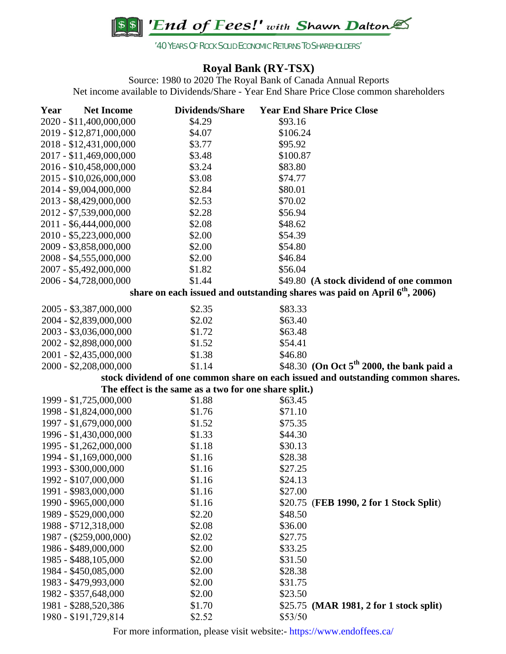**SS End of Fees!'** with Shawn Dalton

# **Royal Bank (RY-TSX)**

Source: 1980 to 2020 The Royal Bank of Canada Annual Reports Net income available to Dividends/Share - Year End Share Price Close common shareholders

| Year | <b>Net Income</b>       | <b>Dividends/Share</b>                                | <b>Year End Share Price Close</b>                                                     |
|------|-------------------------|-------------------------------------------------------|---------------------------------------------------------------------------------------|
|      | 2020 - \$11,400,000,000 | \$4.29                                                | \$93.16                                                                               |
|      | 2019 - \$12,871,000,000 | \$4.07                                                | \$106.24                                                                              |
|      | 2018 - \$12,431,000,000 | \$3.77                                                | \$95.92                                                                               |
|      | 2017 - \$11,469,000,000 | \$3.48                                                | \$100.87                                                                              |
|      | 2016 - \$10,458,000,000 | \$3.24                                                | \$83.80                                                                               |
|      | 2015 - \$10,026,000,000 | \$3.08                                                | \$74.77                                                                               |
|      | 2014 - \$9,004,000,000  | \$2.84                                                | \$80.01                                                                               |
|      | 2013 - \$8,429,000,000  | \$2.53                                                | \$70.02                                                                               |
|      | 2012 - \$7,539,000,000  | \$2.28                                                | \$56.94                                                                               |
|      | 2011 - \$6,444,000,000  | \$2.08                                                | \$48.62                                                                               |
|      | 2010 - \$5,223,000,000  | \$2.00                                                | \$54.39                                                                               |
|      | 2009 - \$3,858,000,000  | \$2.00                                                | \$54.80                                                                               |
|      | 2008 - \$4,555,000,000  | \$2.00                                                | \$46.84                                                                               |
|      | 2007 - \$5,492,000,000  | \$1.82                                                | \$56.04                                                                               |
|      | 2006 - \$4,728,000,000  | \$1.44                                                | \$49.80 (A stock dividend of one common                                               |
|      |                         |                                                       | share on each issued and outstanding shares was paid on April 6 <sup>th</sup> , 2006) |
|      | 2005 - \$3,387,000,000  | \$2.35                                                | \$83.33                                                                               |
|      | 2004 - \$2,839,000,000  | \$2.02                                                | \$63.40                                                                               |
|      | 2003 - \$3,036,000,000  | \$1.72                                                | \$63.48                                                                               |
|      | 2002 - \$2,898,000,000  | \$1.52                                                | \$54.41                                                                               |
|      | 2001 - \$2,435,000,000  | \$1.38                                                | \$46.80                                                                               |
|      | 2000 - \$2,208,000,000  | \$1.14                                                | \$48.30 (On Oct $5th$ 2000, the bank paid a                                           |
|      |                         |                                                       | stock dividend of one common share on each issued and outstanding common shares.      |
|      |                         | The effect is the same as a two for one share split.) |                                                                                       |
|      | 1999 - \$1,725,000,000  | \$1.88                                                | \$63.45                                                                               |
|      | 1998 - \$1,824,000,000  | \$1.76                                                | \$71.10                                                                               |
|      | 1997 - \$1,679,000,000  | \$1.52                                                | \$75.35                                                                               |
|      | 1996 - \$1,430,000,000  | \$1.33                                                | \$44.30                                                                               |
|      | 1995 - \$1,262,000,000  | \$1.18                                                | \$30.13                                                                               |
|      | 1994 - \$1,169,000,000  | \$1.16                                                | \$28.38                                                                               |
|      | 1993 - \$300,000,000    | \$1.16                                                | \$27.25                                                                               |
|      | 1992 - \$107,000,000    | \$1.16                                                | \$24.13                                                                               |
|      | 1991 - \$983,000,000    | \$1.16                                                | \$27.00                                                                               |
|      | 1990 - \$965,000,000    | \$1.16                                                | \$20.75 (FEB 1990, 2 for 1 Stock Split)                                               |
|      | 1989 - \$529,000,000    | \$2.20                                                | \$48.50                                                                               |
|      | 1988 - \$712,318,000    | \$2.08                                                | \$36.00                                                                               |
|      | 1987 - (\$259,000,000)  | \$2.02                                                | \$27.75                                                                               |
|      | 1986 - \$489,000,000    | \$2.00                                                | \$33.25                                                                               |
|      | 1985 - \$488,105,000    | \$2.00                                                | \$31.50                                                                               |
|      | 1984 - \$450,085,000    | \$2.00                                                | \$28.38                                                                               |
|      | 1983 - \$479,993,000    | \$2.00                                                | \$31.75                                                                               |
|      | 1982 - \$357,648,000    | \$2.00                                                | \$23.50                                                                               |
|      | 1981 - \$288,520,386    | \$1.70                                                | \$25.75 (MAR 1981, 2 for 1 stock split)                                               |
|      | 1980 - \$191,729,814    | \$2.52                                                | \$53/50                                                                               |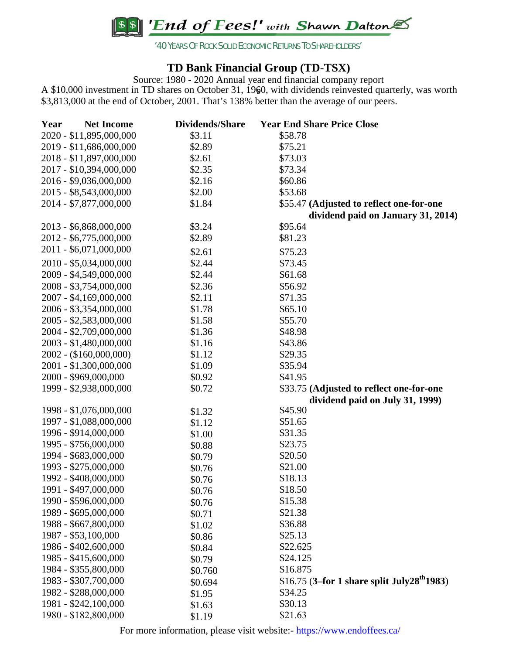**SS 'End of Fees!'** with Shawn Dalton

#### **TD Bank Financial Group (TD-TSX)**

Source: 1980 - 2020 Annual year end financial company report A \$10,000 investment in TD shares on October 31, 1960, with dividends reinvested quarterly, was worth \$3,813,000 at the end of October, 2001. That's 138% better than the average of our peers.

| <b>Net Income</b>       | <b>Dividends/Share</b>                                                                                                                                                                                                                                                                                             | <b>Year End Share Price Close</b>                                                                                                                                                           |
|-------------------------|--------------------------------------------------------------------------------------------------------------------------------------------------------------------------------------------------------------------------------------------------------------------------------------------------------------------|---------------------------------------------------------------------------------------------------------------------------------------------------------------------------------------------|
| 2020 - \$11,895,000,000 | \$3.11                                                                                                                                                                                                                                                                                                             | \$58.78                                                                                                                                                                                     |
| 2019 - \$11,686,000,000 | \$2.89                                                                                                                                                                                                                                                                                                             | \$75.21                                                                                                                                                                                     |
| 2018 - \$11,897,000,000 | \$2.61                                                                                                                                                                                                                                                                                                             | \$73.03                                                                                                                                                                                     |
| 2017 - \$10,394,000,000 | \$2.35                                                                                                                                                                                                                                                                                                             | \$73.34                                                                                                                                                                                     |
| 2016 - \$9,036,000,000  | \$2.16                                                                                                                                                                                                                                                                                                             | \$60.86                                                                                                                                                                                     |
| 2015 - \$8,543,000,000  | \$2.00                                                                                                                                                                                                                                                                                                             | \$53.68                                                                                                                                                                                     |
| 2014 - \$7,877,000,000  | \$1.84                                                                                                                                                                                                                                                                                                             | \$55.47 (Adjusted to reflect one-for-one                                                                                                                                                    |
|                         |                                                                                                                                                                                                                                                                                                                    | dividend paid on January 31, 2014)                                                                                                                                                          |
| 2013 - \$6,868,000,000  | \$3.24                                                                                                                                                                                                                                                                                                             | \$95.64                                                                                                                                                                                     |
| 2012 - \$6,775,000,000  | \$2.89                                                                                                                                                                                                                                                                                                             | \$81.23                                                                                                                                                                                     |
| 2011 - \$6,071,000,000  |                                                                                                                                                                                                                                                                                                                    | \$75.23                                                                                                                                                                                     |
|                         |                                                                                                                                                                                                                                                                                                                    | \$73.45                                                                                                                                                                                     |
|                         |                                                                                                                                                                                                                                                                                                                    | \$61.68                                                                                                                                                                                     |
|                         |                                                                                                                                                                                                                                                                                                                    | \$56.92                                                                                                                                                                                     |
|                         |                                                                                                                                                                                                                                                                                                                    | \$71.35                                                                                                                                                                                     |
|                         |                                                                                                                                                                                                                                                                                                                    | \$65.10                                                                                                                                                                                     |
|                         |                                                                                                                                                                                                                                                                                                                    | \$55.70                                                                                                                                                                                     |
|                         |                                                                                                                                                                                                                                                                                                                    | \$48.98                                                                                                                                                                                     |
|                         |                                                                                                                                                                                                                                                                                                                    | \$43.86                                                                                                                                                                                     |
|                         |                                                                                                                                                                                                                                                                                                                    | \$29.35                                                                                                                                                                                     |
|                         |                                                                                                                                                                                                                                                                                                                    | \$35.94                                                                                                                                                                                     |
|                         |                                                                                                                                                                                                                                                                                                                    | \$41.95                                                                                                                                                                                     |
|                         |                                                                                                                                                                                                                                                                                                                    | \$33.75 (Adjusted to reflect one-for-one                                                                                                                                                    |
|                         |                                                                                                                                                                                                                                                                                                                    | dividend paid on July 31, 1999)                                                                                                                                                             |
| 1998 - \$1,076,000,000  |                                                                                                                                                                                                                                                                                                                    | \$45.90                                                                                                                                                                                     |
| 1997 - \$1,088,000,000  |                                                                                                                                                                                                                                                                                                                    | \$51.65                                                                                                                                                                                     |
| 1996 - \$914,000,000    |                                                                                                                                                                                                                                                                                                                    | \$31.35                                                                                                                                                                                     |
| 1995 - \$756,000,000    | \$0.88                                                                                                                                                                                                                                                                                                             | \$23.75                                                                                                                                                                                     |
| 1994 - \$683,000,000    |                                                                                                                                                                                                                                                                                                                    | \$20.50                                                                                                                                                                                     |
| 1993 - \$275,000,000    | \$0.76                                                                                                                                                                                                                                                                                                             | \$21.00                                                                                                                                                                                     |
| 1992 - \$408,000,000    | \$0.76                                                                                                                                                                                                                                                                                                             | \$18.13                                                                                                                                                                                     |
| 1991 - \$497,000,000    | \$0.76                                                                                                                                                                                                                                                                                                             | \$18.50                                                                                                                                                                                     |
| 1990 - \$596,000,000    | \$0.76                                                                                                                                                                                                                                                                                                             | \$15.38                                                                                                                                                                                     |
| 1989 - \$695,000,000    | \$0.71                                                                                                                                                                                                                                                                                                             | \$21.38                                                                                                                                                                                     |
| 1988 - \$667,800,000    |                                                                                                                                                                                                                                                                                                                    | \$36.88                                                                                                                                                                                     |
| 1987 - \$53,100,000     | \$0.86                                                                                                                                                                                                                                                                                                             | \$25.13                                                                                                                                                                                     |
| 1986 - \$402,600,000    | \$0.84                                                                                                                                                                                                                                                                                                             | \$22.625                                                                                                                                                                                    |
| 1985 - \$415,600,000    | \$0.79                                                                                                                                                                                                                                                                                                             | \$24.125                                                                                                                                                                                    |
| 1984 - \$355,800,000    |                                                                                                                                                                                                                                                                                                                    | \$16.875                                                                                                                                                                                    |
| 1983 - \$307,700,000    | \$0.694                                                                                                                                                                                                                                                                                                            | \$16.75 (3–for 1 share split July28 <sup>th</sup> 1983)                                                                                                                                     |
| 1982 - \$288,000,000    | \$1.95                                                                                                                                                                                                                                                                                                             | \$34.25                                                                                                                                                                                     |
| 1981 - \$242,100,000    | \$1.63                                                                                                                                                                                                                                                                                                             | \$30.13                                                                                                                                                                                     |
| 1980 - \$182,800,000    | \$1.19                                                                                                                                                                                                                                                                                                             | \$21.63                                                                                                                                                                                     |
|                         | 2010 - \$5,034,000,000<br>2009 - \$4,549,000,000<br>2008 - \$3,754,000,000<br>2007 - \$4,169,000,000<br>2006 - \$3,354,000,000<br>2005 - \$2,583,000,000<br>2004 - \$2,709,000,000<br>2003 - \$1,480,000,000<br>$2002 - (160,000,000)$<br>2001 - \$1,300,000,000<br>2000 - \$969,000,000<br>1999 - \$2,938,000,000 | \$2.61<br>\$2.44<br>\$2.44<br>\$2.36<br>\$2.11<br>\$1.78<br>\$1.58<br>\$1.36<br>\$1.16<br>\$1.12<br>\$1.09<br>\$0.92<br>\$0.72<br>\$1.32<br>\$1.12<br>\$1.00<br>\$0.79<br>\$1.02<br>\$0.760 |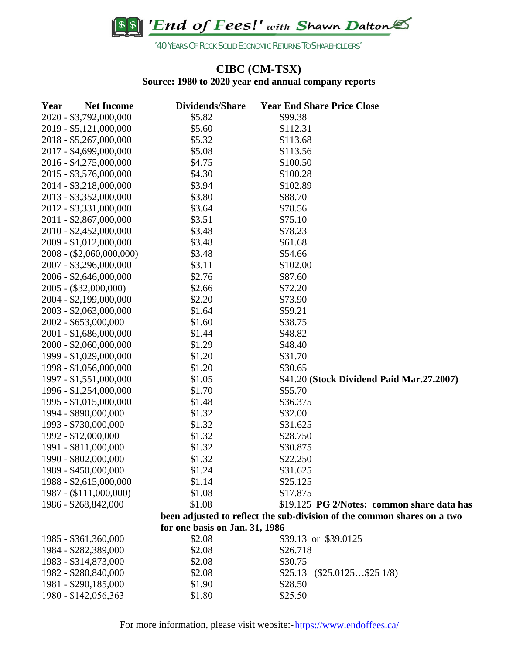\$\$ 'End of Fees!' with Shawn Dalton

# **CIBC (CM-TSX)**

**Source: 1980 to 2020 year end annual company reports**

| Year | <b>Net Income</b>        | <b>Dividends/Share</b>         | <b>Year End Share Price Close</b>                                       |
|------|--------------------------|--------------------------------|-------------------------------------------------------------------------|
|      | 2020 - \$3,792,000,000   | \$5.82                         | \$99.38                                                                 |
|      | 2019 - \$5,121,000,000   | \$5.60                         | \$112.31                                                                |
|      | 2018 - \$5,267,000,000   | \$5.32                         | \$113.68                                                                |
|      | 2017 - \$4,699,000,000   | \$5.08                         | \$113.56                                                                |
|      | 2016 - \$4,275,000,000   | \$4.75                         | \$100.50                                                                |
|      | 2015 - \$3,576,000,000   | \$4.30                         | \$100.28                                                                |
|      | 2014 - \$3,218,000,000   | \$3.94                         | \$102.89                                                                |
|      | 2013 - \$3,352,000,000   | \$3.80                         | \$88.70                                                                 |
|      | 2012 - \$3,331,000,000   | \$3.64                         | \$78.56                                                                 |
|      | 2011 - \$2,867,000,000   | \$3.51                         | \$75.10                                                                 |
|      | 2010 - \$2,452,000,000   | \$3.48                         | \$78.23                                                                 |
|      | 2009 - \$1,012,000,000   | \$3.48                         | \$61.68                                                                 |
|      | $2008 - (2,060,000,000)$ | \$3.48                         | \$54.66                                                                 |
|      | 2007 - \$3,296,000,000   | \$3.11                         | \$102.00                                                                |
|      | 2006 - \$2,646,000,000   | \$2.76                         | \$87.60                                                                 |
|      | $2005 - (\$32,000,000)$  | \$2.66                         | \$72.20                                                                 |
|      | 2004 - \$2,199,000,000   | \$2.20                         | \$73.90                                                                 |
|      | 2003 - \$2,063,000,000   | \$1.64                         | \$59.21                                                                 |
|      | 2002 - \$653,000,000     | \$1.60                         | \$38.75                                                                 |
|      | 2001 - \$1,686,000,000   | \$1.44                         | \$48.82                                                                 |
|      | 2000 - \$2,060,000,000   | \$1.29                         | \$48.40                                                                 |
|      | 1999 - \$1,029,000,000   | \$1.20                         | \$31.70                                                                 |
|      | 1998 - \$1,056,000,000   | \$1.20                         | \$30.65                                                                 |
|      | 1997 - \$1,551,000,000   | \$1.05                         | \$41.20 (Stock Dividend Paid Mar.27.2007)                               |
|      | 1996 - \$1,254,000,000   | \$1.70                         | \$55.70                                                                 |
|      | 1995 - \$1,015,000,000   | \$1.48                         | \$36.375                                                                |
|      | 1994 - \$890,000,000     | \$1.32                         | \$32.00                                                                 |
|      | 1993 - \$730,000,000     | \$1.32                         | \$31.625                                                                |
|      | 1992 - \$12,000,000      | \$1.32                         | \$28.750                                                                |
|      | 1991 - \$811,000,000     | \$1.32                         | \$30.875                                                                |
|      | 1990 - \$802,000,000     | \$1.32                         | \$22.250                                                                |
|      | 1989 - \$450,000,000     | \$1.24                         | \$31.625                                                                |
|      | 1988 - \$2,615,000,000   | \$1.14                         | \$25.125                                                                |
|      | 1987 - (\$111,000,000)   | \$1.08                         | \$17.875                                                                |
|      | 1986 - \$268,842,000     | \$1.08                         | \$19.125 PG 2/Notes: common share data has                              |
|      |                          |                                | been adjusted to reflect the sub-division of the common shares on a two |
|      |                          | for one basis on Jan. 31, 1986 |                                                                         |
|      | 1985 - \$361,360,000     | \$2.08                         | \$39.13 or \$39.0125                                                    |
|      | 1984 - \$282,389,000     | \$2.08                         | \$26.718                                                                |
|      | 1983 - \$314,873,000     | \$2.08                         | \$30.75                                                                 |
|      | 1982 - \$280,840,000     | \$2.08                         | $(\$25.0125\$251/8)$<br>\$25.13                                         |
|      | 1981 - \$290,185,000     | \$1.90                         | \$28.50                                                                 |
|      | 1980 - \$142,056,363     | \$1.80                         | \$25.50                                                                 |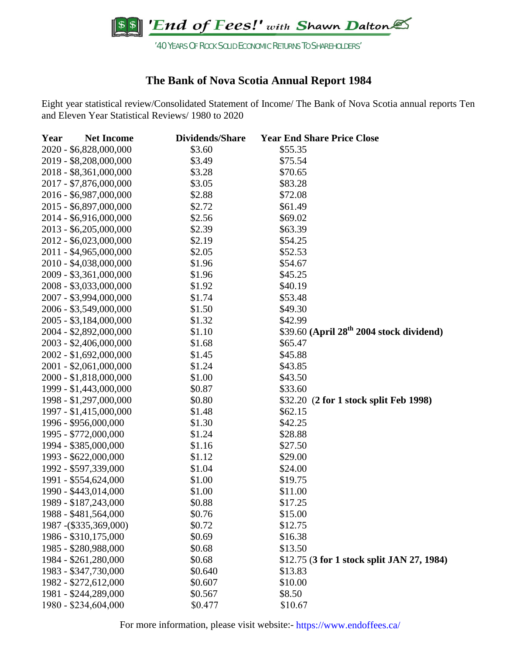**SS End of Fees!'** with Shawn Dalton

## **The Bank of Nova Scotia Annual Report 1984**

Eight year statistical review/Consolidated Statement of Income/ The Bank of Nova Scotia annual reports Ten and Eleven Year Statistical Reviews/ 1980 to 2020

| <b>Net Income</b><br>Year | <b>Dividends/Share</b> | <b>Year End Share Price Close</b>                    |
|---------------------------|------------------------|------------------------------------------------------|
| 2020 - \$6,828,000,000    | \$3.60                 | \$55.35                                              |
| 2019 - \$8,208,000,000    | \$3.49                 | \$75.54                                              |
| 2018 - \$8,361,000,000    | \$3.28                 | \$70.65                                              |
| 2017 - \$7,876,000,000    | \$3.05                 | \$83.28                                              |
| 2016 - \$6,987,000,000    | \$2.88                 | \$72.08                                              |
| 2015 - \$6,897,000,000    | \$2.72                 | \$61.49                                              |
| 2014 - \$6,916,000,000    | \$2.56                 | \$69.02                                              |
| 2013 - \$6,205,000,000    | \$2.39                 | \$63.39                                              |
| 2012 - \$6,023,000,000    | \$2.19                 | \$54.25                                              |
| 2011 - \$4,965,000,000    | \$2.05                 | \$52.53                                              |
| 2010 - \$4,038,000,000    | \$1.96                 | \$54.67                                              |
| 2009 - \$3,361,000,000    | \$1.96                 | \$45.25                                              |
| 2008 - \$3,033,000,000    | \$1.92                 | \$40.19                                              |
| 2007 - \$3,994,000,000    | \$1.74                 | \$53.48                                              |
| 2006 - \$3,549,000,000    | \$1.50                 | \$49.30                                              |
| 2005 - \$3,184,000,000    | \$1.32                 | \$42.99                                              |
| 2004 - \$2,892,000,000    | \$1.10                 | \$39.60 (April 28 <sup>th</sup> 2004 stock dividend) |
| 2003 - \$2,406,000,000    | \$1.68                 | \$65.47                                              |
| 2002 - \$1,692,000,000    | \$1.45                 | \$45.88                                              |
| 2001 - \$2,061,000,000    | \$1.24                 | \$43.85                                              |
| 2000 - \$1,818,000,000    | \$1.00                 | \$43.50                                              |
| 1999 - \$1,443,000,000    | \$0.87                 | \$33.60                                              |
| 1998 - \$1,297,000,000    | \$0.80                 | \$32.20 (2 for 1 stock split Feb 1998)               |
| 1997 - \$1,415,000,000    | \$1.48                 | \$62.15                                              |
| 1996 - \$956,000,000      | \$1.30                 | \$42.25                                              |
| 1995 - \$772,000,000      | \$1.24                 | \$28.88                                              |
| 1994 - \$385,000,000      | \$1.16                 | \$27.50                                              |
| 1993 - \$622,000,000      | \$1.12                 | \$29.00                                              |
| 1992 - \$597,339,000      | \$1.04                 | \$24.00                                              |
| 1991 - \$554,624,000      | \$1.00                 | \$19.75                                              |
| 1990 - \$443,014,000      | \$1.00                 | \$11.00                                              |
| 1989 - \$187,243,000      | \$0.88                 | \$17.25                                              |
| 1988 - \$481,564,000      | \$0.76                 | \$15.00                                              |
| 1987 - (\$335,369,000)    | \$0.72                 | \$12.75                                              |
| 1986 - \$310,175,000      | \$0.69                 | \$16.38                                              |
| 1985 - \$280,988,000      | \$0.68                 | \$13.50                                              |
| 1984 - \$261,280,000      | \$0.68                 | \$12.75 (3 for 1 stock split JAN 27, 1984)           |
| 1983 - \$347,730,000      | \$0.640                | \$13.83                                              |
| 1982 - \$272,612,000      | \$0.607                | \$10.00                                              |
| 1981 - \$244,289,000      | \$0.567                | \$8.50                                               |
| 1980 - \$234,604,000      | \$0.477                | \$10.67                                              |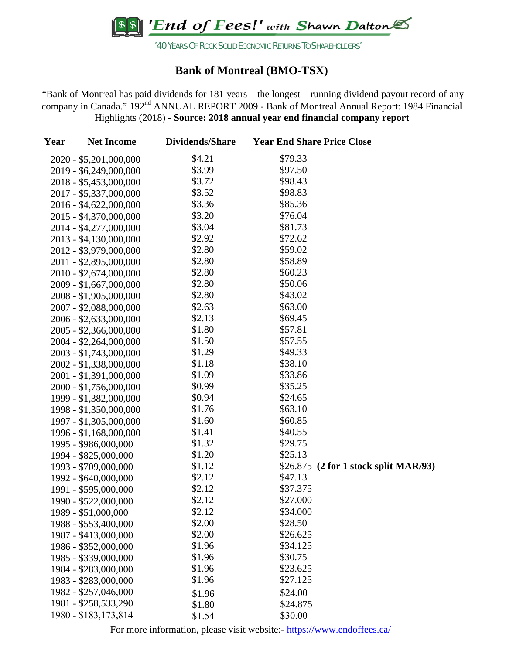**SS End of Fees!'** with Shawn Dalton

#### **Bank of Montreal (BMO-TSX)**

"Bank of Montreal has paid dividends for 181 years – the longest – running dividend payout record of any company in Canada." 192<sup>nd</sup> ANNUAL REPORT 2009 - Bank of Montreal Annual Report: 1984 Financial Highlights (2018) - **Source: 2018 annual year end financial company report**

| Year | <b>Net Income</b>      | Dividends/Share | <b>Year End Share Price Close</b> |                                       |
|------|------------------------|-----------------|-----------------------------------|---------------------------------------|
|      | 2020 - \$5,201,000,000 | \$4.21          | \$79.33                           |                                       |
|      | 2019 - \$6,249,000,000 | \$3.99          | \$97.50                           |                                       |
|      | 2018 - \$5,453,000,000 | \$3.72          | \$98.43                           |                                       |
|      | 2017 - \$5,337,000,000 | \$3.52          | \$98.83                           |                                       |
|      | 2016 - \$4,622,000,000 | \$3.36          | \$85.36                           |                                       |
|      | 2015 - \$4,370,000,000 | \$3.20          | \$76.04                           |                                       |
|      | 2014 - \$4,277,000,000 | \$3.04          | \$81.73                           |                                       |
|      | 2013 - \$4,130,000,000 | \$2.92          | \$72.62                           |                                       |
|      | 2012 - \$3,979,000,000 | \$2.80          | \$59.02                           |                                       |
|      | 2011 - \$2,895,000,000 | \$2.80          | \$58.89                           |                                       |
|      | 2010 - \$2,674,000,000 | \$2.80          | \$60.23                           |                                       |
|      | 2009 - \$1,667,000,000 | \$2.80          | \$50.06                           |                                       |
|      | 2008 - \$1,905,000,000 | \$2.80          | \$43.02                           |                                       |
|      | 2007 - \$2,088,000,000 | \$2.63          | \$63.00                           |                                       |
|      | 2006 - \$2,633,000,000 | \$2.13          | \$69.45                           |                                       |
|      | 2005 - \$2,366,000,000 | \$1.80          | \$57.81                           |                                       |
|      | 2004 - \$2,264,000,000 | \$1.50          | \$57.55                           |                                       |
|      | 2003 - \$1,743,000,000 | \$1.29          | \$49.33                           |                                       |
|      | 2002 - \$1,338,000,000 | \$1.18          | \$38.10                           |                                       |
|      | 2001 - \$1,391,000,000 | \$1.09          | \$33.86                           |                                       |
|      | 2000 - \$1,756,000,000 | \$0.99          | \$35.25                           |                                       |
|      | 1999 - \$1,382,000,000 | \$0.94          | \$24.65                           |                                       |
|      | 1998 - \$1,350,000,000 | \$1.76          | \$63.10                           |                                       |
|      | 1997 - \$1,305,000,000 | \$1.60          | \$60.85                           |                                       |
|      | 1996 - \$1,168,000,000 | \$1.41          | \$40.55                           |                                       |
|      | 1995 - \$986,000,000   | \$1.32          | \$29.75                           |                                       |
|      | 1994 - \$825,000,000   | \$1.20          | \$25.13                           |                                       |
|      | 1993 - \$709,000,000   | \$1.12          |                                   | \$26.875 (2 for 1 stock split MAR/93) |
|      | 1992 - \$640,000,000   | \$2.12          | \$47.13                           |                                       |
|      | 1991 - \$595,000,000   | \$2.12          | \$37.375                          |                                       |
|      | 1990 - \$522,000,000   | \$2.12          | \$27.000                          |                                       |
|      | 1989 - \$51,000,000    | \$2.12          | \$34.000                          |                                       |
|      | 1988 - \$553,400,000   | \$2.00          | \$28.50                           |                                       |
|      | 1987 - \$413,000,000   | \$2.00          | \$26.625                          |                                       |
|      | 1986 - \$352,000,000   | \$1.96          | \$34.125                          |                                       |
|      | 1985 - \$339,000,000   | \$1.96          | \$30.75                           |                                       |
|      | 1984 - \$283,000,000   | \$1.96          | \$23.625                          |                                       |
|      | 1983 - \$283,000,000   | \$1.96          | \$27.125                          |                                       |
|      | 1982 - \$257,046,000   | \$1.96          | \$24.00                           |                                       |
|      | 1981 - \$258,533,290   | \$1.80          | \$24.875                          |                                       |
|      | 1980 - \$183,173,814   | \$1.54          | \$30.00                           |                                       |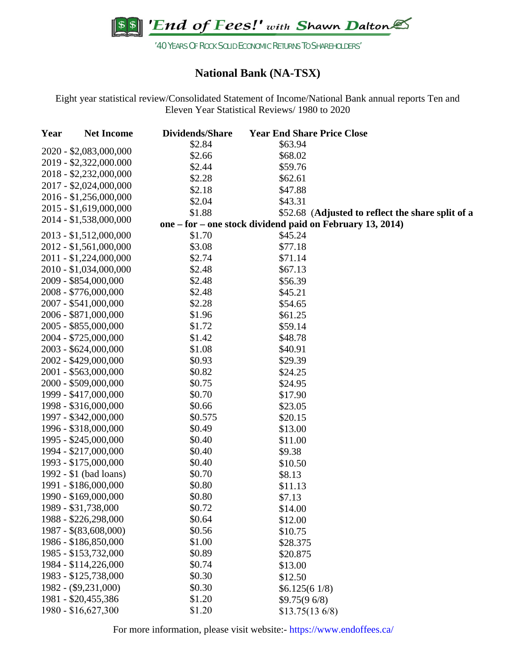

## **National Bank (NA-TSX)**

Eight year statistical review/Consolidated Statement of Income/National Bank annual reports Ten and Eleven Year Statistical Reviews/ 1980 to 2020

| Year | <b>Net Income</b>      | <b>Dividends/Share</b> | <b>Year End Share Price Close</b>                         |
|------|------------------------|------------------------|-----------------------------------------------------------|
|      |                        | \$2.84                 | \$63.94                                                   |
|      | 2020 - \$2,083,000,000 | \$2.66                 | \$68.02                                                   |
|      | 2019 - \$2,322,000.000 | \$2.44                 | \$59.76                                                   |
|      | 2018 - \$2,232,000,000 | \$2.28                 | \$62.61                                                   |
|      | 2017 - \$2,024,000,000 | \$2.18                 | \$47.88                                                   |
|      | 2016 - \$1,256,000,000 | \$2.04                 | \$43.31                                                   |
|      | 2015 - \$1,619,000,000 | \$1.88                 | \$52.68 (Adjusted to reflect the share split of a         |
|      | 2014 - \$1,538,000,000 |                        | one – for – one stock dividend paid on February 13, 2014) |
|      | 2013 - \$1,512,000,000 | \$1.70                 | \$45.24                                                   |
|      | 2012 - \$1,561,000,000 | \$3.08                 | \$77.18                                                   |
|      | 2011 - \$1,224,000,000 | \$2.74                 | \$71.14                                                   |
|      | 2010 - \$1,034,000,000 | \$2.48                 | \$67.13                                                   |
|      | 2009 - \$854,000,000   | \$2.48                 | \$56.39                                                   |
|      | 2008 - \$776,000,000   | \$2.48                 | \$45.21                                                   |
|      | 2007 - \$541,000,000   | \$2.28                 | \$54.65                                                   |
|      | 2006 - \$871,000,000   | \$1.96                 | \$61.25                                                   |
|      | 2005 - \$855,000,000   | \$1.72                 | \$59.14                                                   |
|      | 2004 - \$725,000,000   | \$1.42                 | \$48.78                                                   |
|      | 2003 - \$624,000,000   | \$1.08                 | \$40.91                                                   |
|      | 2002 - \$429,000,000   | \$0.93                 | \$29.39                                                   |
|      | 2001 - \$563,000,000   | \$0.82                 | \$24.25                                                   |
|      | 2000 - \$509,000,000   | \$0.75                 | \$24.95                                                   |
|      | 1999 - \$417,000,000   | \$0.70                 | \$17.90                                                   |
|      | 1998 - \$316,000,000   | \$0.66                 | \$23.05                                                   |
|      | 1997 - \$342,000,000   | \$0.575                | \$20.15                                                   |
|      | 1996 - \$318,000,000   | \$0.49                 | \$13.00                                                   |
|      | 1995 - \$245,000,000   | \$0.40                 | \$11.00                                                   |
|      | 1994 - \$217,000,000   | \$0.40                 | \$9.38                                                    |
|      | 1993 - \$175,000,000   | \$0.40                 | \$10.50                                                   |
|      | 1992 - \$1 (bad loans) | \$0.70                 | \$8.13                                                    |
|      | 1991 - \$186,000,000   | \$0.80                 | \$11.13                                                   |
|      | 1990 - \$169,000,000   | \$0.80                 | \$7.13                                                    |
|      | 1989 - \$31,738,000    | \$0.72                 | \$14.00                                                   |
|      | 1988 - \$226,298,000   | \$0.64                 | \$12.00                                                   |
|      | 1987 - \$(83,608,000)  | \$0.56                 | \$10.75                                                   |
|      | 1986 - \$186,850,000   | \$1.00                 | \$28.375                                                  |
|      | 1985 - \$153,732,000   | \$0.89                 | \$20.875                                                  |
|      | 1984 - \$114,226,000   | \$0.74                 | \$13.00                                                   |
|      | 1983 - \$125,738,000   | \$0.30                 | \$12.50                                                   |
|      | $1982 - (\$9,231,000)$ | \$0.30                 | \$6.125(61/8)                                             |
|      | 1981 - \$20,455,386    | \$1.20                 | \$9.75(96/8)                                              |
|      | 1980 - \$16,627,300    | \$1.20                 | \$13.75(13.6/8)                                           |